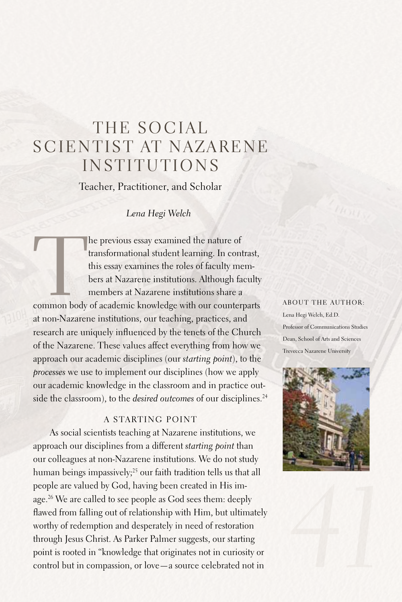# THE SOCIAL SCIENTIST AT NAZARENE **INSTITUTIONS**

Teacher, Practitioner, and Scholar

*Lena Hegi Welch*

The previous essay examined the nature of<br>
transformational student learning. In contrast,<br>
this essay examines the roles of faculty members at Nazarene institutions. Although faculty<br>
members at Nazarene institutions shar transformational student learning. In contrast, this essay examines the roles of faculty members at Nazarene institutions.Although faculty members at Nazarene institutions share a at non-Nazarene institutions, our teaching, practices, and research are uniquely influenced by the tenets of the Church of the Nazarene. These values affect everything from how we approach our academic disciplines (our *starting point*), to the *processes* we use to implement our disciplines (how we apply our academic knowledge in the classroom and in practice outside the classroom), to the *desired outcomes* of our disciplines. 24

## A Starting Point

As social scientists teaching at Nazarene institutions, we approach our disciplines from a different *starting point* than our colleagues at non-Nazarene institutions. We do not study human beings impassively;<sup>25</sup> our faith tradition tells us that all people are valued by God, having been created in His image. 26 We are called to see people as God sees them: deeply flawed from falling out of relationship with Him, but ultimately worthy of redemption and desperately in need of restoration through Jesus Christ.As Parker Palmer suggests, our starting point is rooted in "knowledge that originates not in curiosity or control but in compassion, or love—a source celebrated not in

### About the author:

Lena Hegi Welch, Ed.D. Professor of Communications Studies Dean, School of Arts and Sciences Trevecca Nazarene University



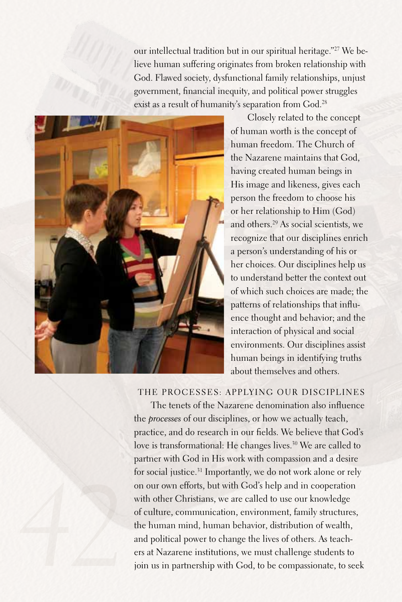our intellectual tradition but in our spiritual heritage."27 We believe human suffering originates from broken relationship with God.Flawed society, dysfunctional family relationships, unjust government, financial inequity, and political power struggles exist as a result of humanity's separation from God. 28



Closely related to the concept of human worth is the concept of human freedom. The Church of the Nazarene maintains that God, having created human beings in His image and likeness, gives each person the freedom to choose his or her relationship to Him (God) and others. <sup>29</sup> As social scientists, we recognize that our disciplines enrich a person's understanding of his or her choices. Our disciplines help us to understand better the context out of which such choices are made; the patterns of relationships that influence thought and behavior; and the interaction of physical and social environments. Our disciplines assist human beings in identifying truths about themselves and others.

## The Processes: Applying Our Disciplines

The tenets of the Nazarene denomination also influence the *processes* of our disciplines, or how we actually teach, practice, and do research in our fields. We believe that God's love is transformational: He changes lives. 30 We are called to partner with God in His work with compassion and a desire for social justice. 31 Importantly, we do not work alone or rely on our own efforts, but with God's help and in cooperation with other Christians, we are called to use our knowledge of culture, communication, environment, family structures, the human mind, human behavior, distribution of wealth, and political power to change the lives of others.As teachers at Nazarene institutions, we must challenge students to join us in partnership with God, to be compassionate, to seek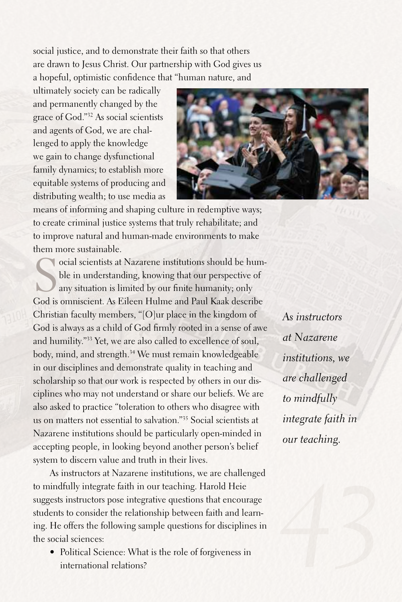social justice, and to demonstrate their faith so that others are drawn to Jesus Christ. Our partnership with God gives us a hopeful, optimistic confidence that "human nature, and

ultimately society can be radically and permanently changed by the grace of God."32 As social scientists and agents of God, we are challenged to apply the knowledge we gain to change dysfunctional family dynamics; to establish more equitable systems of producing and distributing wealth; to use media as



means of informing and shaping culture in redemptive ways; to create criminal justice systems that truly rehabilitate; and to improve natural and human-made environments to make them more sustainable.

Social scientists at Nazarene institutions should be humple in understanding, knowing that our perspective of any situation is limited by our finite humanity; only God is omniscient. As Eileen Hulme and Paul Kaak describe ocial scientists at Nazarene institutions should be humble in understanding, knowing that our perspective of any situation is limited by our finite humanity; only Christian faculty members, "[O]ur place in the kingdom of God is always as a child of God firmly rooted in a sense of awe and humility."33 Yet, we are also called to excellence of soul, body, mind, and strength. 34 We must remain knowledgeable in our disciplines and demonstrate quality in teaching and scholarship so that our work is respected by others in our disciplines who may not understand or share our beliefs. We are also asked to practice "toleration to others who disagree with us on matters not essential to salvation."35 Social scientists at Nazarene institutions should be particularly open-minded in accepting people, in looking beyond another person's belief system to discern value and truth in their lives.

As instructors at Nazarene institutions, we are challenged to mindfully integrate faith in our teaching. Harold Heie suggests instructors pose integrative questions that encourage students to consider the relationship between faith and learning. He offers the following sample questions for disciplines in the social sciences:

• Political Science: What is the role of forgiveness in international relations?

*As instructors at Nazarene institutions, we are challenged to mindfully integrate faith in our teaching.*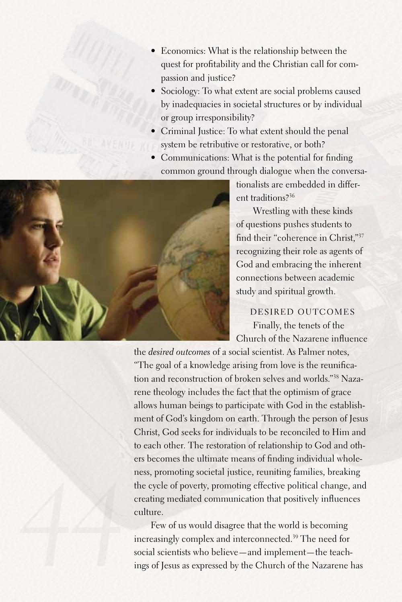- Economics: What is the relationship between the quest for profitability and the Christian call for compassion and justice?
- Sociology: To what extent are social problems caused by inadequacies in societal structures or by individual or group irresponsibility?
- Criminal Justice: To what extent should the penal system be retributive or restorative, or both?
- Communications: What is the potential for finding common ground through dialogue when the conversa-



tionalists are embedded in different traditions?36

Wrestling with these kinds of questions pushes students to find their "coherence in Christ,"37 recognizing their role as agents of God and embracing the inherent connections between academic study and spiritual growth.

Desired Outcomes Finally, the tenets of the Church of the Nazarene influence

the *desired outcomes* of a social scientist.As Palmer notes, "The goal of a knowledge arising from love is the reunification and reconstruction of broken selves and worlds."38 Nazarene theology includes the fact that the optimism of grace allows human beings to participate with God in the establishment of God's kingdom on earth. Through the person of Jesus Christ, God seeks for individuals to be reconciled to Him and to each other. The restoration of relationship to God and others becomes the ultimate means of finding individual wholeness, promoting societal justice, reuniting families, breaking the cycle of poverty, promoting effective political change, and creating mediated communication that positively influences culture.

Few of us would disagree that the world is becoming increasingly complex and interconnected. 39 The need for social scientists who believe—and implement—the teachings of Jesus as expressed by the Church of the Nazarene has